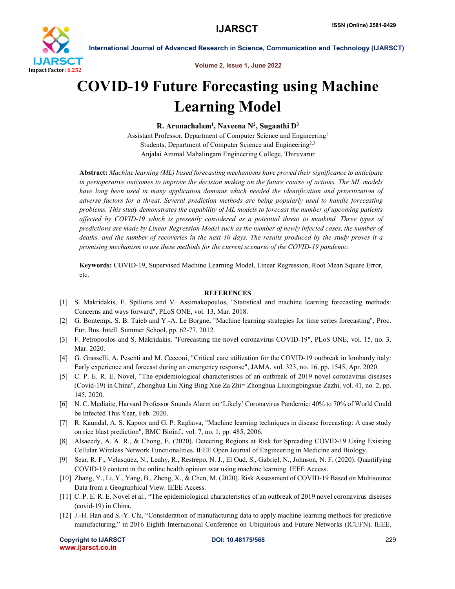

International Journal of Advanced Research in Science, Communication and Technology (IJARSCT)

Volume 2, Issue 1, June 2022

## COVID-19 Future Forecasting using Machine Learning Model

R. Arunachalam<sup>1</sup>, Naveena N<sup>2</sup>, Suganthi D<sup>3</sup>

Assistant Professor, Department of Computer Science and Engineering1 Students, Department of Computer Science and Engineering<sup>2,3</sup> Anjalai Ammal Mahalingam Engineering College, Thiruvarur

Abstract: *Machine learning (ML) based forecasting mechanisms have proved their significance to anticipate in perioperative outcomes to improve the decision making on the future course of actions. The ML models*  have long been used in many application domains which needed the identification and prioritization of *adverse factors for a threat. Several prediction methods are being popularly used to handle forecasting problems. This study demonstrates the capability of ML models to forecast the number of upcoming patients affected by COVID-19 which is presently considered as a potential threat to mankind. Three types of predictions are made by Linear Regression Model such as the number of newly infected cases, the number of deaths, and the number of recoveries in the next 10 days. The results produced by the study proves it a promising mechanism to use these methods for the current scenario of the COVID-19 pandemic.*

Keywords: COVID-19, Supervised Machine Learning Model, Linear Regression, Root Mean Square Error, etc.

## **REFERENCES**

- [1] S. Makridakis, E. Spiliotis and V. Assimakopoulos, "Statistical and machine learning forecasting methods: Concerns and ways forward", PLoS ONE, vol. 13, Mar. 2018.
- [2] G. Bontempi, S. B. Taieb and Y.-A. Le Borgne, "Machine learning strategies for time series forecasting", Proc. Eur. Bus. Intell. Summer School, pp. 62-77, 2012.
- [3] F. Petropoulos and S. Makridakis, "Forecasting the novel coronavirus COVID-19", PLoS ONE, vol. 15, no. 3, Mar. 2020.
- [4] G. Grasselli, A. Pesenti and M. Cecconi, "Critical care utilization for the COVID-19 outbreak in lombardy italy: Early experience and forecast during an emergency response", JAMA, vol. 323, no. 16, pp. 1545, Apr. 2020.
- [5] C. P. E. R. E. Novel, "The epidemiological characteristics of an outbreak of 2019 novel coronavirus diseases (Covid-19) in China", Zhonghua Liu Xing Bing Xue Za Zhi= Zhonghua Liuxingbingxue Zazhi, vol. 41, no. 2, pp. 145, 2020.
- [6] N. C. Mediaite, Harvard Professor Sounds Alarm on 'Likely' Coronavirus Pandemic: 40% to 70% of World Could be Infected This Year, Feb. 2020.
- [7] R. Kaundal, A. S. Kapoor and G. P. Raghava, "Machine learning techniques in disease forecasting: A case study on rice blast prediction", BMC Bioinf., vol. 7, no. 1, pp. 485, 2006.
- [8] Alsaeedy, A. A. R., & Chong, E. (2020). Detecting Regions at Risk for Spreading COVID-19 Using Existing Cellular Wireless Network Functionalities. IEEE Open Journal of Engineering in Medicine and Biology.
- [9] Sear, R. F., Velasquez, N., Leahy, R., Restrepo, N. J., El Oud, S., Gabriel, N., Johnson, N. F. (2020). Quantifying COVID-19 content in the online health opinion war using machine learning. IEEE Access.
- [10] Zhang, Y., Li, Y., Yang, B., Zheng, X., & Chen, M. (2020). Risk Assessment of COVID-19 Based on Multisource Data from a Geographical View. IEEE Access.
- [11] C. P. E. R. E. Novel et al., "The epidemiological characteristics of an outbreak of 2019 novel coronavirus diseases (covid-19) in China.
- [12] J.-H. Han and S.-Y. Chi, "Consideration of manufacturing data to apply machine learning methods for predictive manufacturing," in 2016 Eighth International Conference on Ubiquitous and Future Networks (ICUFN). IEEE,